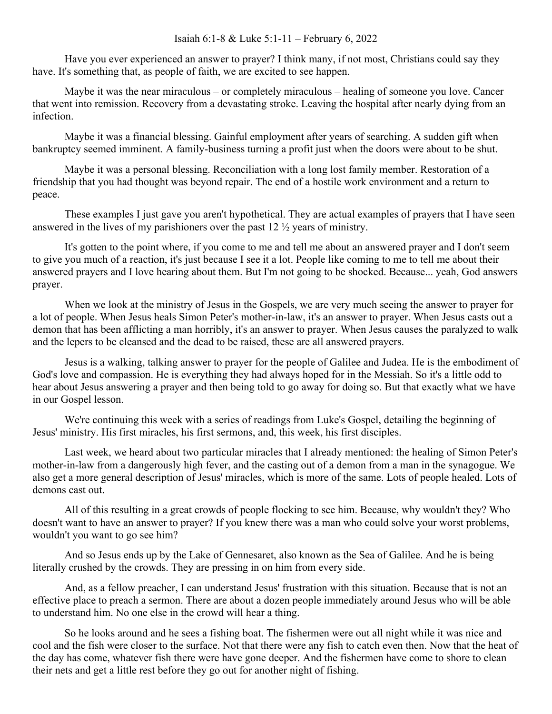## Isaiah 6:1-8 & Luke 5:1-11 – February 6, 2022

Have you ever experienced an answer to prayer? I think many, if not most, Christians could say they have. It's something that, as people of faith, we are excited to see happen.

Maybe it was the near miraculous – or completely miraculous – healing of someone you love. Cancer that went into remission. Recovery from a devastating stroke. Leaving the hospital after nearly dying from an infection.

Maybe it was a financial blessing. Gainful employment after years of searching. A sudden gift when bankruptcy seemed imminent. A family-business turning a profit just when the doors were about to be shut.

Maybe it was a personal blessing. Reconciliation with a long lost family member. Restoration of a friendship that you had thought was beyond repair. The end of a hostile work environment and a return to peace.

These examples I just gave you aren't hypothetical. They are actual examples of prayers that I have seen answered in the lives of my parishioners over the past 12 ½ years of ministry.

It's gotten to the point where, if you come to me and tell me about an answered prayer and I don't seem to give you much of a reaction, it's just because I see it a lot. People like coming to me to tell me about their answered prayers and I love hearing about them. But I'm not going to be shocked. Because... yeah, God answers prayer.

When we look at the ministry of Jesus in the Gospels, we are very much seeing the answer to prayer for a lot of people. When Jesus heals Simon Peter's mother-in-law, it's an answer to prayer. When Jesus casts out a demon that has been afflicting a man horribly, it's an answer to prayer. When Jesus causes the paralyzed to walk and the lepers to be cleansed and the dead to be raised, these are all answered prayers.

Jesus is a walking, talking answer to prayer for the people of Galilee and Judea. He is the embodiment of God's love and compassion. He is everything they had always hoped for in the Messiah. So it's a little odd to hear about Jesus answering a prayer and then being told to go away for doing so. But that exactly what we have in our Gospel lesson.

We're continuing this week with a series of readings from Luke's Gospel, detailing the beginning of Jesus' ministry. His first miracles, his first sermons, and, this week, his first disciples.

Last week, we heard about two particular miracles that I already mentioned: the healing of Simon Peter's mother-in-law from a dangerously high fever, and the casting out of a demon from a man in the synagogue. We also get a more general description of Jesus' miracles, which is more of the same. Lots of people healed. Lots of demons cast out.

All of this resulting in a great crowds of people flocking to see him. Because, why wouldn't they? Who doesn't want to have an answer to prayer? If you knew there was a man who could solve your worst problems, wouldn't you want to go see him?

And so Jesus ends up by the Lake of Gennesaret, also known as the Sea of Galilee. And he is being literally crushed by the crowds. They are pressing in on him from every side.

And, as a fellow preacher, I can understand Jesus' frustration with this situation. Because that is not an effective place to preach a sermon. There are about a dozen people immediately around Jesus who will be able to understand him. No one else in the crowd will hear a thing.

So he looks around and he sees a fishing boat. The fishermen were out all night while it was nice and cool and the fish were closer to the surface. Not that there were any fish to catch even then. Now that the heat of the day has come, whatever fish there were have gone deeper. And the fishermen have come to shore to clean their nets and get a little rest before they go out for another night of fishing.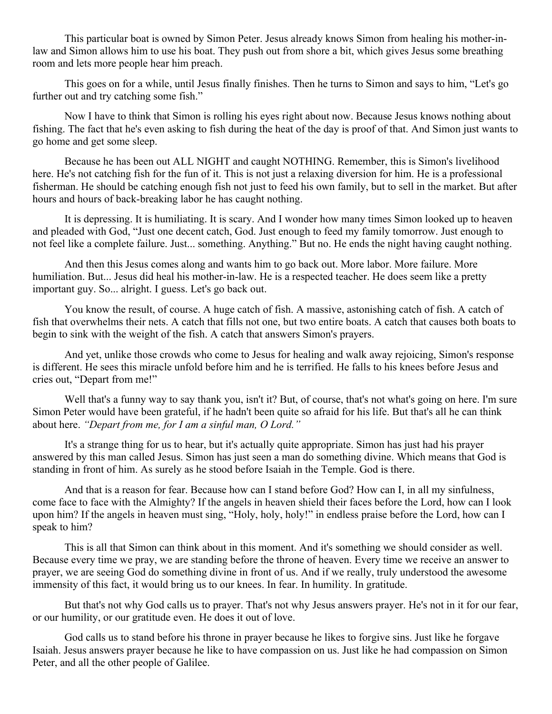This particular boat is owned by Simon Peter. Jesus already knows Simon from healing his mother-inlaw and Simon allows him to use his boat. They push out from shore a bit, which gives Jesus some breathing room and lets more people hear him preach.

This goes on for a while, until Jesus finally finishes. Then he turns to Simon and says to him, "Let's go further out and try catching some fish."

Now I have to think that Simon is rolling his eyes right about now. Because Jesus knows nothing about fishing. The fact that he's even asking to fish during the heat of the day is proof of that. And Simon just wants to go home and get some sleep.

Because he has been out ALL NIGHT and caught NOTHING. Remember, this is Simon's livelihood here. He's not catching fish for the fun of it. This is not just a relaxing diversion for him. He is a professional fisherman. He should be catching enough fish not just to feed his own family, but to sell in the market. But after hours and hours of back-breaking labor he has caught nothing.

It is depressing. It is humiliating. It is scary. And I wonder how many times Simon looked up to heaven and pleaded with God, "Just one decent catch, God. Just enough to feed my family tomorrow. Just enough to not feel like a complete failure. Just... something. Anything." But no. He ends the night having caught nothing.

And then this Jesus comes along and wants him to go back out. More labor. More failure. More humiliation. But... Jesus did heal his mother-in-law. He is a respected teacher. He does seem like a pretty important guy. So... alright. I guess. Let's go back out.

You know the result, of course. A huge catch of fish. A massive, astonishing catch of fish. A catch of fish that overwhelms their nets. A catch that fills not one, but two entire boats. A catch that causes both boats to begin to sink with the weight of the fish. A catch that answers Simon's prayers.

And yet, unlike those crowds who come to Jesus for healing and walk away rejoicing, Simon's response is different. He sees this miracle unfold before him and he is terrified. He falls to his knees before Jesus and cries out, "Depart from me!"

Well that's a funny way to say thank you, isn't it? But, of course, that's not what's going on here. I'm sure Simon Peter would have been grateful, if he hadn't been quite so afraid for his life. But that's all he can think about here. *"Depart from me, for I am a sinful man, O Lord."*

It's a strange thing for us to hear, but it's actually quite appropriate. Simon has just had his prayer answered by this man called Jesus. Simon has just seen a man do something divine. Which means that God is standing in front of him. As surely as he stood before Isaiah in the Temple. God is there.

And that is a reason for fear. Because how can I stand before God? How can I, in all my sinfulness, come face to face with the Almighty? If the angels in heaven shield their faces before the Lord, how can I look upon him? If the angels in heaven must sing, "Holy, holy, holy!" in endless praise before the Lord, how can I speak to him?

This is all that Simon can think about in this moment. And it's something we should consider as well. Because every time we pray, we are standing before the throne of heaven. Every time we receive an answer to prayer, we are seeing God do something divine in front of us. And if we really, truly understood the awesome immensity of this fact, it would bring us to our knees. In fear. In humility. In gratitude.

But that's not why God calls us to prayer. That's not why Jesus answers prayer. He's not in it for our fear, or our humility, or our gratitude even. He does it out of love.

God calls us to stand before his throne in prayer because he likes to forgive sins. Just like he forgave Isaiah. Jesus answers prayer because he like to have compassion on us. Just like he had compassion on Simon Peter, and all the other people of Galilee.